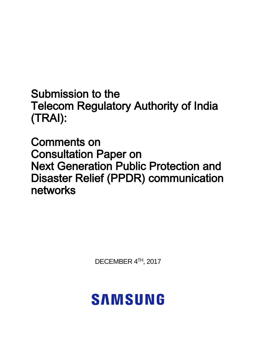Submission to the Telecom Regulatory Authority of India (TRAI):

Comments on Consultation Paper on Next Generation Public Protection and Disaster Relief (PPDR) communication networks

DECEMBER 4 TH, 2017

# **SAMSUNG**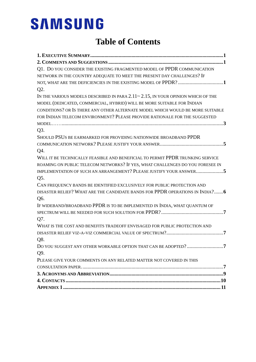### **Table of Contents**

| Q1. DO YOU CONSIDER THE EXISTING FRAGMENTED MODEL OF PPDR COMMUNICATION                 |
|-----------------------------------------------------------------------------------------|
| NETWORK IN THE COUNTRY ADEQUATE TO MEET THE PRESENT DAY CHALLENGES? IF                  |
|                                                                                         |
| Q2.                                                                                     |
| IN THE VARIOUS MODELS DESCRIBED IN PARA $2.11 \sim 2.15$ , IN YOUR OPINION WHICH OF THE |
| MODEL (DEDICATED, COMMERCIAL, HYBRID) WILL BE MORE SUITABLE FOR INDIAN                  |
| CONDITIONS? OR IS THERE ANY OTHER ALTERNATE MODEL WHICH WOULD BE MORE SUITABLE          |
| FOR INDIAN TELECOM ENVIRONMENT? PLEASE PROVIDE RATIONALE FOR THE SUGGESTED              |
|                                                                                         |
| Q3.                                                                                     |
| SHOULD PSUS BE EARMARKED FOR PROVIDING NATIONWIDE BROADBAND PPDR                        |
|                                                                                         |
| Q4.                                                                                     |
| WILL IT BE TECHNICALLY FEASIBLE AND BENEFICIAL TO PERMIT PPDR TRUNKING SERVICE          |
| ROAMING ON PUBLIC TELECOM NETWORKS? IF YES, WHAT CHALLENGES DO YOU FORESEE IN           |
| IMPLEMENTATION OF SUCH AN ARRANGEMENT? PLEASE JUSTIFY YOUR ANSWER5                      |
| Q5.                                                                                     |
| CAN FREQUENCY BANDS BE IDENTIFIED EXCLUSIVELY FOR PUBLIC PROTECTION AND                 |
| DISASTER RELIEF? WHAT ARE THE CANDIDATE BANDS FOR PPDR OPERATIONS IN INDIA? 6           |
| Q6.                                                                                     |
| IF WIDEBAND/BROADBAND PPDR IS TO BE IMPLEMENTED IN INDIA, WHAT QUANTUM OF               |
|                                                                                         |
| Q7.                                                                                     |
| WHAT IS THE COST AND BENEFITS TRADEOFF ENVISAGED FOR PUBLIC PROTECTION AND              |
|                                                                                         |
| Q8.                                                                                     |
|                                                                                         |
| Q9.                                                                                     |
| PLEASE GIVE YOUR COMMENTS ON ANY RELATED MATTER NOT COVERED IN THIS                     |
|                                                                                         |
|                                                                                         |
|                                                                                         |
|                                                                                         |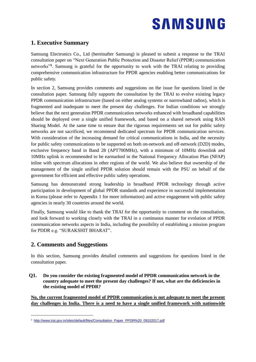### <span id="page-2-0"></span>**1. Executive Summary**

Samsung Electronics Co., Ltd (hereinafter Samsung) is pleased to submit a response to the TRAI consultation paper on "Next Generation Public Protection and Disaster Relief (PPDR) communication networks"**<sup>1</sup>** . Samsung is grateful for the opportunity to work with the TRAI relating to providing comprehensive communication infrastructure for PPDR agencies enabling better communications for public safety.

In section 2, Samsung provides comments and suggestions on the issue for questions listed in the consultation paper. Samsung fully supports the consultation by the TRAI to evolve existing legacy PPDR communication infrastructure (based on either analog systems or narrowband radios), which is fragmented and inadequate to meet the present day challenges. For Indian conditions we strongly believe that the next generation PPDR communication networks enhanced with broadband capabilities should be deployed over a single unified framework, and based on a shared network using RAN Sharing Model. At the same time to ensure that the rigorous requirements set out for public safety networks are not sacrificed, we recommend dedicated spectrum for PPDR communication services. With consideration of the increasing demand for critical communications in India, and the necessity for public safety communications to be supported on both on-network and off-network (D2D) modes, exclusive frequency band in Band 28 (APT700MHz), with a minimum of 10MHz downlink and 10MHz uplink is recommended to be earmarked in the National Frequency Allocation Plan (NFAP) inline with spectrum allocations in other regions of the world. We also believe that ownership of the management of the single unified PPDR solution should remain with the PSU on behalf of the government for efficient and effective public safety operations.

Samsung has demonstrated strong leadership in broadband PPDR technology through active participation in development of global PPDR standards and experience in successful implementation in Korea (please refer to Appendix 1 for more information) and active engagement with public safety agencies in nearly 30 countries around the world.

Finally, Samsung would like to thank the TRAI for the opportunity to comment on the consultation, and look forward to working closely with the TRAI in a continuous manner for evolution of PPDR communication networks aspects in India, including the possibility of establishing a mission program for PDDR e.g. "SURAKSHIT BHARAT".

### <span id="page-2-1"></span>**2. Comments and Suggestions**

-

In this section, Samsung provides detailed comments and suggestions for questions listed in the consultation paper.

<span id="page-2-2"></span>**Q1. Do you consider the existing fragmented model of PPDR communication network in the country adequate to meet the present day challenges? If not, what are the deficiencies in the existing model of PPDR?**

**No, the current fragmented model of PPDR communication is not adequate to meet the present day challenges in India. There is a need to have a single unified framework with nationwide**

<sup>1</sup> [http://www.trai.gov.in/sites/default/files/Consultation\\_Paper\\_PPDR%20\\_09102017.pdf](http://www.trai.gov.in/sites/default/files/Consultation_Paper_PPDR%20_09102017.pdf)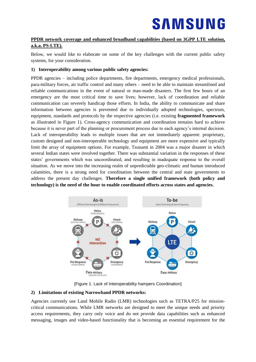#### **PPDR network coverage and enhanced broadband capabilities (based on 3GPP LTE solution, a.k.a. PS-LTE).**

Below, we would like to elaborate on some of the key challenges with the current public safety systems, for your consideration.

#### **1) Interoperability among various public safety agencies:**

PPDR agencies – including police departments, fire departments, emergency medical professionals, para-military forces, air traffic control and many others – need to be able to maintain streamlined and reliable communications in the event of natural or man-made disasters. The first few hours of an emergency are the most critical time to save lives; however, lack of coordination and reliable communication can severely handicap those efforts. In India, the ability to communicate and share information between agencies is prevented due to individually adopted technologies, spectrum, equipment, standards and protocols by the respective agencies (i.e. existing **fragmented framework** as illustrated in Figure 1). Cross-agency communication and coordination remains hard to achieve because it is never part of the planning or procurement process due to each agency's internal decision. Lack of interoperability leads to multiple issues that are not immediately apparent: proprietary, custom designed and non-interoperable technology and equipment are more expensive and typically limit the array of equipment options. For example, Tsunami in 2004 was a major disaster in which several Indian states were involved together. There was substantial variation in the responses of these states' governments which was uncoordinated, and resulting in inadequate response to the overall situation. As we move into the increasing realm of unpredictable geo-climatic and human introduced calamities, there is a strong need for coordination between the central and state governments to address the present day challenges. **Therefore a single unified framework (both policy and technology) is the need of the hour to enable coordinated efforts across states and agencies.**



[Figure 1: Lack of Interoperability hampers Coordination]

#### **2) Limitations of existing Narrowband PPDR networks:**

Agencies currently use Land Mobile Radio (LMR) technologies such as TETRA/P25 for missioncritical communications. While LMR networks are designed to meet the unique needs and priority access requirements, they carry only voice and do not provide data capabilities such as enhanced messaging, images and video-based functionality that is becoming an essential requirement for the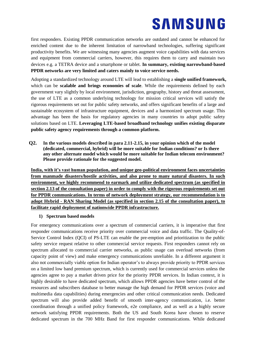first responders. Existing PPDR communication networks are outdated and cannot be enhanced for enriched content due to the inherent limitation of narrowband technologies, suffering significant productivity benefits. We are witnessing many agencies augment voice capabilities with data services and equipment from commercial carriers, however, this requires them to carry and maintain two devices e.g. a TETRA device and a smartphone or tablet. **In summary, existing narrowband-based PPDR networks are very limited and caters mainly to voice service needs.** 

Adopting a standardized technology around LTE will lead to establishing a **single unified framework,** which can be **scalable and brings economies of scale**. While the requirements defined by each government vary slightly by local environment, jurisdiction, geography, history and threat assessment, the use of LTE as a common underlying technology for mission critical services will satisfy the rigorous requirements set out for public safety networks, and offers significant benefits of a large and sustainable ecosystem of infrastructure equipment, devices and a harmonized spectrum usage. This advantage has been the basis for regulatory agencies in many countries to adopt public safety solutions based on LTE. **Leveraging LTE-based broadband technology unifies existing disparate public safety agency requirements through a common platform.**

<span id="page-4-0"></span>**Q2. In the various models described in para 2.11-2.15, in your opinion which of the model (dedicated, commercial, hybrid) will be more suitable for Indian conditions? or Is there any other alternate model which would be more suitable for Indian telecom environment? Please provide rationale for the suggested model.**

**India, with it's vast human population, and unique geo-political environment faces uncertainties from manmade disasters/hostile activities, and also prone to many natural disasters. In such environment, we highly recommend to earmark and utilize dedicated spectrum (as specified in section 2.13 of the consultation paper) in order to comply with the rigorous requirements set out for PPDR communications. In terms of network deployment strategy, our recommendation is to adopt Hybrid - RAN Sharing Model (as specified in section 2.15 of the consultation paper), to facilitate rapid deployment of nationwide PPDR infrastructure.**

#### **1) Spectrum based models**

For emergency communications over a spectrum of commercial carriers, it is imperative that first responder communications receive priority over commercial voice and data traffic. The Quality-of-Service Control Index (QCI) of PS-LTE can enable the pre-emption and prioritization to the public safety service request relative to other commercial service requests. First responders cannot rely on spectrum allocated to commercial carrier networks, as public usage can overload networks (from capacity point of view) and make emergency communications unreliable. In a different argument it also not commercially viable option for Indian operator's to always provide priority to PPDR services on a limited low band premium spectrum, which is currently used for commercial services unless the agencies agree to pay a market driven price for the priority PPDR services. In Indian context, it is highly desirable to have dedicated spectrum, which allows PPDR agencies have better control of the resources and subscribers database to better manage the high demand for PPDR services (voice and multimedia data capabilities) during emergencies and other critical communication needs. Dedicated spectrum will also provide added benefit of smooth inter-agency communication, i.e. better coordination through a unified policy framework, e2e compliance, and as well as a highly secure network satisfying PPDR requirements. Both the US and South Korea have chosen to reserve dedicated spectrum in the 700 MHz Band for first responder communications. While dedicated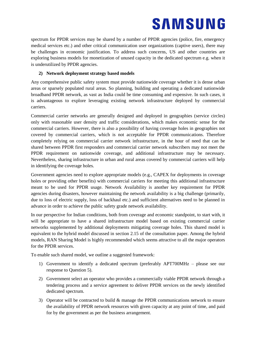spectrum for PPDR services may be shared by a number of PPDR agencies (police, fire, emergency medical services etc.) and other critical communication user organizations (captive users), there may be challenges in economic justification. To address such concerns, US and other countries are exploring business models for monetization of unused capacity in the dedicated spectrum e.g. when it is underutilized by PPDR agencies.

#### **2) Network deployment strategy based models**

Any comprehensive public safety system must provide nationwide coverage whether it is dense urban areas or sparsely populated rural areas. So planning, building and operating a dedicated nationwide broadband PPDR network, as vast as India could be time consuming and expensive. In such cases, it is advantageous to explore leveraging existing network infrastructure deployed by commercial carriers.

Commercial carrier networks are generally designed and deployed in geographies (service circles) only with reasonable user density and traffic considerations, which makes economic sense for the commercial carriers. However, there is also a possibility of having coverage holes in geographies not covered by commercial carriers, which is not acceptable for PPDR communications. Therefore completely relying on commercial carrier network infrastructure, in the hour of need that can be shared between PPDR first responders and commercial carrier network subscribers may not meet the PPDR requirement on nationwide coverage, and additional infrastructure may be necessary. Nevertheless, sharing infrastructure in urban and rural areas covered by commercial carriers will help in identifying the coverage holes.

Government agencies need to explore appropriate models (e.g., CAPEX for deployments in coverage holes or providing other benefits) with commercial carriers for meeting this additional infrastructure meant to be used for PPDR usage. Network Availability is another key requirement for PPDR agencies during disasters, however maintaining the network availability is a big challenge (primarily, due to loss of electric supply, loss of backhaul etc.) and sufficient alternatives need to be planned in advance in order to achieve the public safety grade network availability.

In our perspective for Indian conditions, both from coverage and economic standpoint, to start with, it will be appropriate to have a shared infrastructure model based on existing commercial carrier networks supplemented by additional deployments mitigating coverage holes. This shared model is equivalent to the hybrid model discussed in section 2.15 of the consultation paper. Among the hybrid models, RAN Sharing Model is highly recommended which seems attractive to all the major operators for the PPDR services.

To enable such shared model, we outline a suggested framework:

- 1) Government to identify a dedicated spectrum (preferably APT700MHz please see our response to Question 5).
- 2) Government select an operator who provides a commercially viable PPDR network through a tendering process and a service agreement to deliver PPDR services on the newly identified dedicated spectrum.
- 3) Operator will be contracted to build & manage the PPDR communications network to ensure the availability of PPDR network resources with given capacity at any point of time, and paid for by the government as per the business arrangement.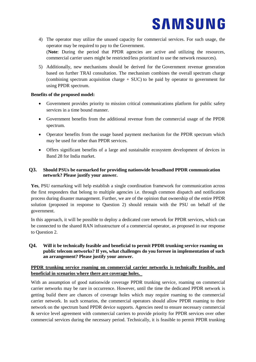- 4) The operator may utilize the unused capacity for commercial services. For such usage, the operator may be required to pay to the Government. (**Note**: During the period that PPDR agencies are active and utilizing the resources, commercial carrier users might be restricted/less prioritized to use the network resources).
- 5) Additionally, new mechanisms should be derived for the Government revenue generation based on further TRAI consultation. The mechanism combines the overall spectrum charge (combining spectrum acquisition charge  $+$  SUC) to be paid by operator to government for using PPDR spectrum.

#### **Benefits of the proposed model:**

- Government provides priority to mission critical communications platform for public safety services in a time bound manner.
- Government benefits from the additional revenue from the commercial usage of the PPDR spectrum.
- Operator benefits from the usage based payment mechanism for the PPDR spectrum which may be used for other than PPDR services.
- Offers significant benefits of a large and sustainable ecosystem development of devices in Band 28 for India market.

#### <span id="page-6-0"></span>**Q3. Should PSUs be earmarked for providing nationwide broadband PPDR communication network? Please justify your answer.**

**Yes**, PSU earmarking will help establish a single coordination framework for communication across the first responders that belong to multiple agencies i.e. through common dispatch and notification process during disaster management. Further, we are of the opinion that ownership of the entire PPDR solution (proposed in response to Question 2) should remain with the PSU on behalf of the government.

In this approach, it will be possible to deploy a dedicated core network for PPDR services, which can be connected to the shared RAN infrastructure of a commercial operator, as proposed in our response to Question 2.

<span id="page-6-1"></span>**Q4. Will it be technically feasible and beneficial to permit PPDR trunking service roaming on public telecom networks? If yes, what challenges do you foresee in implementation of such an arrangement? Please justify your answer.**

#### **PPDR trunking service roaming on commercial carrier networks is technically feasible, and beneficial in scenarios where there are coverage holes.**

With an assumption of good nationwide coverage PPDR trunking service, roaming on commercial carrier networks may be rare in occurrence. However, until the time the dedicated PPDR network is getting build there are chances of coverage holes which may require roaming to the commercial carrier network. In such scenarios, the commercial operators should allow PPDR roaming to their network on the spectrum band PPDR device supports. Agencies need to ensure necessary commercial & service level agreement with commercial carriers to provide priority for PPDR services over other commercial services during the necessary period. Technically, it is feasible to permit PPDR trunking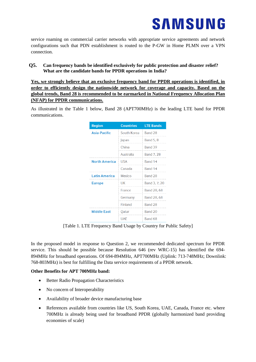service roaming on commercial carrier networks with appropriate service agreements and network configurations such that PDN establishment is routed to the P-GW in Home PLMN over a VPN connection.

#### <span id="page-7-0"></span>**Q5. Can frequency bands be identified exclusively for public protection and disaster relief? What are the candidate bands for PPDR operations in India?**

**Yes, we strongly believe that an exclusive frequency band for PPDR operations is identified, in order to efficiently design the nationwide network for coverage and capacity. Based on the global trends, Band 28 is recommended to be earmarked in National Frequency Allocation Plan (NFAP) for PPDR communications.**

As illustrated in the Table 1 below, Band 28 (APT700MHz) is the leading LTE band for PPDR communications.

| <b>Region</b>        | <b>Countries</b> | <b>LTE Bands</b> |
|----------------------|------------------|------------------|
| <b>Asia-Pacific</b>  | South Korea      | Band 28          |
|                      | Japan            | <b>Band 5, 8</b> |
|                      | China            | Band 39          |
|                      | Australia        | Band 7, 28       |
| <b>North America</b> | <b>USA</b>       | Band 14          |
|                      | Canada           | Band 14          |
| <b>Latin America</b> | Mexico           | Band 28          |
| <b>Europe</b>        | UK               | Band 3, 7, 20    |
|                      | France           | Band 28, 68      |
|                      | Germany          | Band 28, 68      |
|                      | <b>Finland</b>   | Band 28          |
| <b>Middle East</b>   | Qatar            | Band 20          |
|                      | <b>UAF</b>       | Band 68          |

[Table 1. LTE Frequency Band Usage by Country for Public Safety]

In the proposed model in response to Question 2, we recommended dedicated spectrum for PPDR service. This should be possible because Resolution 646 (rev WRC-15) has identified the 694- 894MHz for broadband operations. Of 694-894MHz, APT700MHz (Uplink: 713-748MHz; Downlink: 768-803MHz) is best for fulfilling the Data service requirements of a PPDR network.

#### **Other Benefits for APT 700MHz band:**

- Better Radio Propagation Characteristics
- No concern of Interoperability
- Availability of broader device manufacturing base
- References available from countries like US, South Korea, UAE, Canada, France etc. where 700MHz is already being used for broadband PPDR (globally harmonized band providing economies of scale)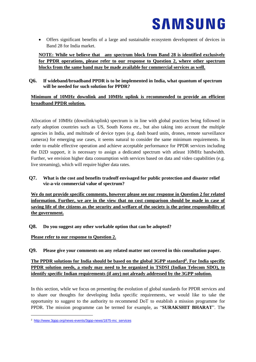Offers significant benefits of a large and sustainable ecosystem development of devices in Band 28 for India market.

**NOTE: While we believe that any spectrum block from Band 28 is identified exclusively for PPDR operations, please refer to our response to Question 2, where other spectrum blocks from the same band may be made available for commercial services as well.**

<span id="page-8-0"></span>**Q6. If wideband/broadband PPDR is to be implemented in India, what quantum of spectrum will be needed for such solution for PPDR?**

#### **Minimum of 10MHz downlink and 10MHz uplink is recommended to provide an efficient broadband PPDR solution.**

Allocation of 10MHz (downlink/uplink) spectrum is in line with global practices being followed in early adoption countries such as US, South Korea etc., but also taking into account the multiple agencies in India, and multitude of device types (e.g. dash board units, drones, remote surveillance cameras) for emerging use cases, it seems natural to consider the same minimum requirements. In order to enable effective operation and achieve acceptable performance for PPDR services including the D2D support, it is necessary to assign a dedicated spectrum with atleast 10MHz bandwidth. Further, we envision higher data consumption with services based on data and video capabilities (e.g. live streaming), which will require higher data rates.

#### <span id="page-8-1"></span>**Q7. What is the cost and benefits tradeoff envisaged for public protection and disaster relief viz-a-viz commercial value of spectrum?**

**We do not provide specific comments, however please see our response in Question 2 for related information. Further, we are in the view that no cost comparison should be made in case of saving life of the citizens as the security and welfare of the society is the prime responsibility of the government.**

<span id="page-8-2"></span>**Q8. Do you suggest any other workable option that can be adopted?**

**Please refer to our response to Question 2.**

<span id="page-8-3"></span>**Q9. Please give your comments on any related matter not covered in this consultation paper.**

#### **The PPDR solutions for India should be based on the global 3GPP standard<sup>2</sup> . For India specific PPDR solution needs, a study may need to be organized in TSDSI (Indian Telecom SDO), to identify specific Indian requirements (if any) not already addressed by the 3GPP solution.**

In this section, while we focus on presenting the evolution of global standards for PPDR services and to share our thoughts for developing India specific requirements, we would like to take the opportunity to suggest to the authority to recommend DoT to establish a mission programme for PPDR. The mission programme can be termed for example, as "**SURAKSHIT BHARAT**". The

-

<sup>2</sup> [http://www.3gpp.org/news-events/3gpp-news/1875-mc\\_services](http://www.3gpp.org/news-events/3gpp-news/1875-mc_services)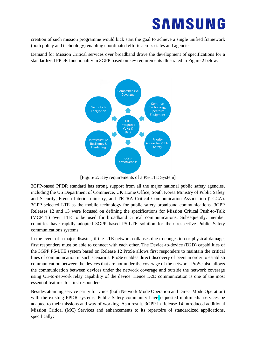creation of such mission programme would kick start the goal to achieve a single unified framework (both policy and technology) enabling coordinated efforts across states and agencies.

Demand for Mission Critical services over broadband drove the development of specifications for a standardized PPDR functionality in 3GPP based on key requirements illustrated in Figure 2 below.



[Figure 2: Key requirements of a PS-LTE System]

3GPP-based PPDR standard has strong support from all the major national public safety agencies, including the US Department of Commerce, UK Home Office, South Korea Ministry of Public Safety and Security, French Interior ministry, and TETRA Critical Communication Association (TCCA). 3GPP selected LTE as the mobile technology for public safety broadband communications. 3GPP Releases 12 and 13 were focused on defining the specifications for Mission Critical Push-to-Talk (MCPTT) over LTE to be used for broadband critical communications. Subsequently, member countries have rapidly adopted 3GPP based PS-LTE solution for their respective Public Safety communications systems.

In the event of a major disaster, if the LTE network collapses due to congestion or physical damage, first responders must be able to connect with each other. The Device-to-device (D2D) capabilities of the 3GPP PS-LTE system based on Release 12 ProSe allows first responders to maintain the critical lines of communication in such scenarios. ProSe enables direct discovery of peers in order to establish communication between the devices that are not under the coverage of the network. ProSe also allows the communication between devices under the network coverage and outside the network coverage using UE-to-network relay capability of the device. Hence D2D communication is one of the most essential features for first responders.

Besides attaining service parity for voice (both Network Mode Operation and Direct Mode Operation) with the existing PPDR systems, Public Safety community have requested multimedia services be adapted to their missions and way of working. As a result, 3GPP in Release 14 introduced additional Mission Critical (MC) Services and enhancements to its repertoire of standardized applications, specifically: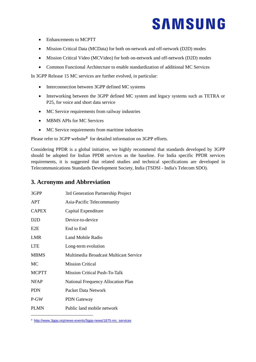- Enhancements to MCPTT
- Mission Critical Data (MCData) for both on-network and off-network (D2D) modes
- Mission Critical Video (MCVideo) for both on-network and off-network (D2D) modes
- Common Functional Architecture to enable standardization of additional MC Services

In 3GPP Release 15 MC services are further evolved, in particular:

- Interconnection between 3GPP defined MC systems
- Interworking between the 3GPP defined MC system and legacy systems such as TETRA or P25, for voice and short data service
- MC Service requirements from railway industries
- MBMS APIs for MC Services
- MC Service requirements from maritime industries

Please refer to 3GPP website**<sup>3</sup>** for detailed information on 3GPP efforts.

Considering PPDR is a global initiative, we highly recommend that standards developed by 3GPP should be adopted for Indian PPDR services as the baseline. For India specific PPDR services requirements, it is suggested that related studies and technical specifications are developed in Telecommunications Standards Development Society, India (TSDSI - India's Telecom SDO).

### <span id="page-10-0"></span>**3. Acronyms and Abbreviation**

| 3GPP             | 3rd Generation Partnership Project        |
|------------------|-------------------------------------------|
| <b>APT</b>       | Asia-Pacific Telecommunity                |
| <b>CAPEX</b>     | Capital Expenditure                       |
| D <sub>2</sub> D | Device-to-device                          |
| E <sub>2</sub> E | End to End                                |
| <b>LMR</b>       | Land Mobile Radio                         |
| <b>LTE</b>       | Long-term evolution                       |
| <b>MBMS</b>      | Multimedia Broadcast Multicast Service    |
| MC.              | <b>Mission Critical</b>                   |
| <b>MCPTT</b>     | Mission Critical Push-To-Talk             |
| <b>NFAP</b>      | <b>National Frequency Allocation Plan</b> |
| <b>PDN</b>       | Packet Data Network                       |
| P-GW             | <b>PDN</b> Gateway                        |
| <b>PLMN</b>      | Public land mobile network                |

<sup>3</sup> [http://www.3gpp.org/news-events/3gpp-news/1875-mc\\_services](http://www.3gpp.org/news-events/3gpp-news/1875-mc_services)

-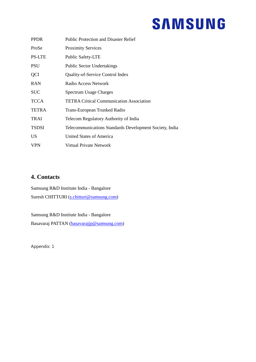| <b>PPDR</b>   | <b>Public Protection and Disaster Relief</b>            |
|---------------|---------------------------------------------------------|
| ProSe         | <b>Proximity Services</b>                               |
| <b>PS-LTE</b> | <b>Public Safety-LTE</b>                                |
| <b>PSU</b>    | <b>Public Sector Undertakings</b>                       |
| <b>QCI</b>    | Quality-of-Service Control Index                        |
| <b>RAN</b>    | Radio Access Network                                    |
| <b>SUC</b>    | <b>Spectrum Usage Charges</b>                           |
| <b>TCCA</b>   | <b>TETRA Critical Communication Association</b>         |
| <b>TETRA</b>  | Trans-European Trunked Radio                            |
| <b>TRAI</b>   | Telecom Regulatory Authority of India                   |
| <b>TSDSI</b>  | Telecommunications Standards Development Society, India |
| <b>US</b>     | <b>United States of America</b>                         |
| <b>VPN</b>    | Virtual Private Network                                 |

### <span id="page-11-0"></span>**4. Contacts**

Samsung R&D Institute India - Bangalore Suresh CHITTURI [\(s.chitturi@samsung.com\)](mailto:s.chitturi@samsung.com)

Samsung R&D Institute India - Bangalore Basavaraj PATTAN [\(basavarajjp@samsung.com\)](mailto:basavarajjp@samsung.com)

Appendix: 1